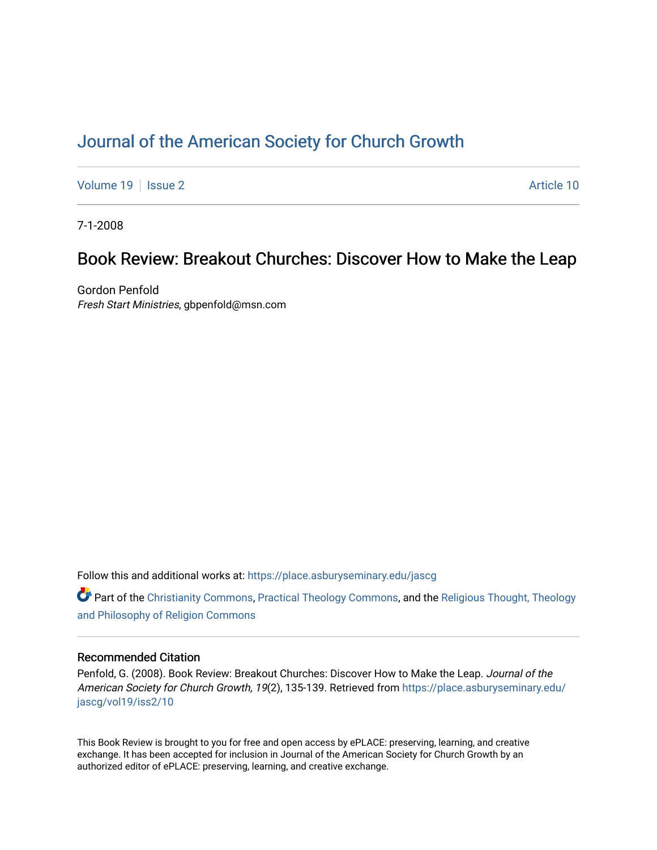# [Journal of the American Society for Church Growth](https://place.asburyseminary.edu/jascg)

[Volume 19](https://place.asburyseminary.edu/jascg/vol19) | [Issue 2](https://place.asburyseminary.edu/jascg/vol19/iss2) Article 10

7-1-2008

## Book Review: Breakout Churches: Discover How to Make the Leap

Gordon Penfold Fresh Start Ministries, gbpenfold@msn.com

Follow this and additional works at: [https://place.asburyseminary.edu/jascg](https://place.asburyseminary.edu/jascg?utm_source=place.asburyseminary.edu%2Fjascg%2Fvol19%2Fiss2%2F10&utm_medium=PDF&utm_campaign=PDFCoverPages)

 $\bullet$  Part of the [Christianity Commons,](https://network.bepress.com/hgg/discipline/1181?utm_source=place.asburyseminary.edu%2Fjascg%2Fvol19%2Fiss2%2F10&utm_medium=PDF&utm_campaign=PDFCoverPages) [Practical Theology Commons](https://network.bepress.com/hgg/discipline/1186?utm_source=place.asburyseminary.edu%2Fjascg%2Fvol19%2Fiss2%2F10&utm_medium=PDF&utm_campaign=PDFCoverPages), and the Religious Thought, Theology [and Philosophy of Religion Commons](https://network.bepress.com/hgg/discipline/544?utm_source=place.asburyseminary.edu%2Fjascg%2Fvol19%2Fiss2%2F10&utm_medium=PDF&utm_campaign=PDFCoverPages)

### Recommended Citation

Penfold, G. (2008). Book Review: Breakout Churches: Discover How to Make the Leap. Journal of the American Society for Church Growth, 19(2), 135-139. Retrieved from [https://place.asburyseminary.edu/](https://place.asburyseminary.edu/jascg/vol19/iss2/10?utm_source=place.asburyseminary.edu%2Fjascg%2Fvol19%2Fiss2%2F10&utm_medium=PDF&utm_campaign=PDFCoverPages) [jascg/vol19/iss2/10](https://place.asburyseminary.edu/jascg/vol19/iss2/10?utm_source=place.asburyseminary.edu%2Fjascg%2Fvol19%2Fiss2%2F10&utm_medium=PDF&utm_campaign=PDFCoverPages) 

This Book Review is brought to you for free and open access by ePLACE: preserving, learning, and creative exchange. It has been accepted for inclusion in Journal of the American Society for Church Growth by an authorized editor of ePLACE: preserving, learning, and creative exchange.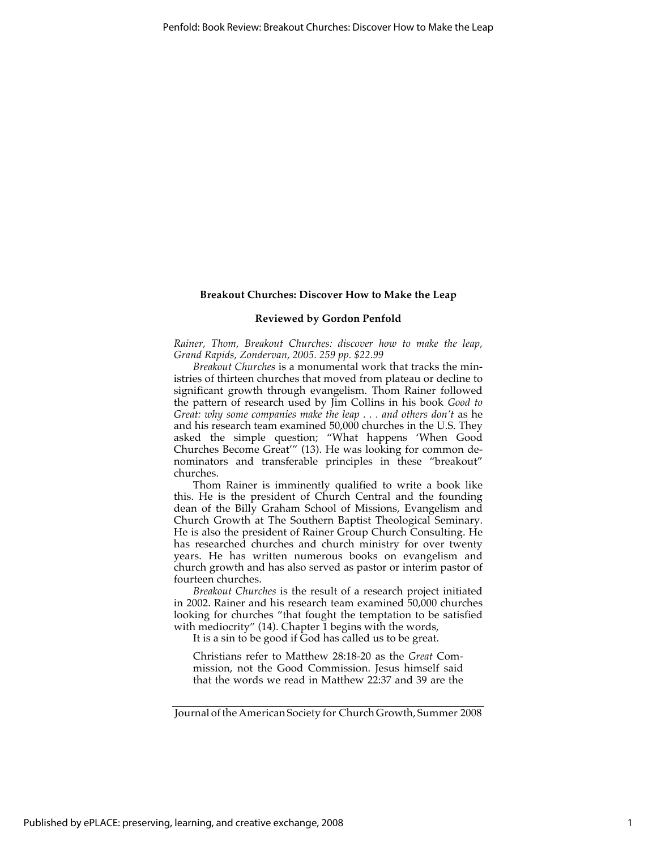#### **Breakout Churches: Discover How to Make the Leap**

#### **Reviewed by Gordon Penfold**

*Rainer, Thom, Breakout Churches: discover how to make the leap, Grand Rapids, Zondervan, 2005. 259 pp. \$22.99*

*Breakout Churches* is a monumental work that tracks the ministries of thirteen churches that moved from plateau or decline to significant growth through evangelism. Thom Rainer followed the pattern of research used by Jim Collins in his book *Good to Great: why some companies make the leap . . . and others don't as he* and his research team examined 50,000 churches in the U.S. They asked the simple question; "What happens 'When Good Churches Become Great'" (13). He was looking for common denominators and transferable principles in these "breakout" churches.

Thom Rainer is imminently qualified to write a book like this. He is the president of Church Central and the founding dean of the Billy Graham School of Missions, Evangelism and Church Growth at The Southern Baptist Theological Seminary. He is also the president of Rainer Group Church Consulting. He has researched churches and church ministry for over twenty years. He has written numerous books on evangelism and church growth and has also served as pastor or interim pastor of fourteen churches.

*Breakout Churches* is the result of a research project initiated in 2002. Rainer and his research team examined 50,000 churches looking for churches "that fought the temptation to be satisfied with mediocrity" (14). Chapter 1 begins with the words,

It is a sin to be good if God has called us to be great.

Christians refer to Matthew 28:18-20 as the *Great* Commission, not the Good Commission. Jesus himself said that the words we read in Matthew 22:37 and 39 are the

Journal of the American Society for Church Growth, Summer 2008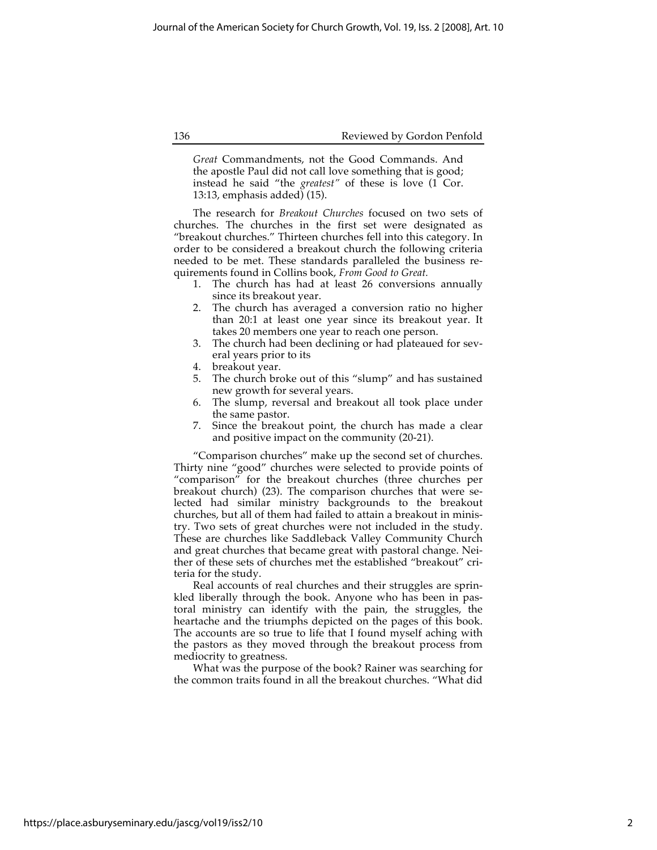136 Reviewed by Gordon Penfold

*Great* Commandments, not the Good Commands. And the apostle Paul did not call love something that is good; instead he said "the *greatest"* of these is love (1 Cor. 13:13, emphasis added) (15).

The research for *Breakout Churches* focused on two sets of churches. The churches in the first set were designated as "breakout churches." Thirteen churches fell into this category. In order to be considered a breakout church the following criteria needed to be met. These standards paralleled the business requirements found in Collins book, *From Good to Great.*

- 1. The church has had at least 26 conversions annually since its breakout year.
- 2. The church has averaged a conversion ratio no higher than 20:1 at least one year since its breakout year. It takes 20 members one year to reach one person.
- 3. The church had been declining or had plateaued for several years prior to its
- 4. breakout year.
- 5. The church broke out of this "slump" and has sustained new growth for several years.
- 6. The slump, reversal and breakout all took place under the same pastor.
- 7. Since the breakout point, the church has made a clear and positive impact on the community (20-21).

"Comparison churches" make up the second set of churches. Thirty nine "good" churches were selected to provide points of "comparison" for the breakout churches (three churches per breakout church) (23). The comparison churches that were selected had similar ministry backgrounds to the breakout churches, but all of them had failed to attain a breakout in ministry. Two sets of great churches were not included in the study. These are churches like Saddleback Valley Community Church and great churches that became great with pastoral change. Neither of these sets of churches met the established "breakout" criteria for the study.

Real accounts of real churches and their struggles are sprinkled liberally through the book. Anyone who has been in pastoral ministry can identify with the pain, the struggles, the heartache and the triumphs depicted on the pages of this book. The accounts are so true to life that I found myself aching with the pastors as they moved through the breakout process from mediocrity to greatness.

What was the purpose of the book? Rainer was searching for the common traits found in all the breakout churches. "What did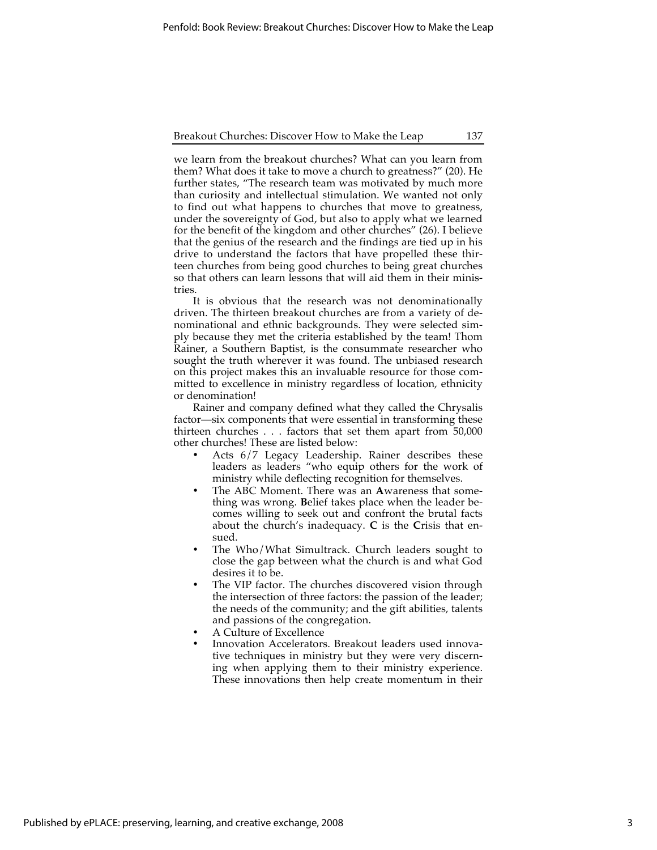Breakout Churches: Discover How to Make the Leap 137

we learn from the breakout churches? What can you learn from them? What does it take to move a church to greatness?" (20). He further states, "The research team was motivated by much more than curiosity and intellectual stimulation. We wanted not only to find out what happens to churches that move to greatness, under the sovereignty of God, but also to apply what we learned for the benefit of the kingdom and other churches" (26). I believe that the genius of the research and the findings are tied up in his drive to understand the factors that have propelled these thirteen churches from being good churches to being great churches so that others can learn lessons that will aid them in their ministries.

It is obvious that the research was not denominationally driven. The thirteen breakout churches are from a variety of denominational and ethnic backgrounds. They were selected simply because they met the criteria established by the team! Thom Rainer, a Southern Baptist, is the consummate researcher who sought the truth wherever it was found. The unbiased research on this project makes this an invaluable resource for those committed to excellence in ministry regardless of location, ethnicity or denomination!

Rainer and company defined what they called the Chrysalis factor—six components that were essential in transforming these thirteen churches . . . factors that set them apart from 50,000 other churches! These are listed below:

- Acts  $6/7$  Legacy Leadership. Rainer describes these leaders as leaders "who equip others for the work of ministry while deflecting recognition for themselves.
- The ABC Moment. There was an **A**wareness that something was wrong. **B**elief takes place when the leader becomes willing to seek out and confront the brutal facts about the church's inadequacy. **C** is the **C**risis that ensued.
- The Who/What Simultrack. Church leaders sought to close the gap between what the church is and what God desires it to be.
- The VIP factor. The churches discovered vision through the intersection of three factors: the passion of the leader; the needs of the community; and the gift abilities, talents and passions of the congregation.
- A Culture of Excellence
- Innovation Accelerators. Breakout leaders used innovative techniques in ministry but they were very discerning when applying them to their ministry experience. These innovations then help create momentum in their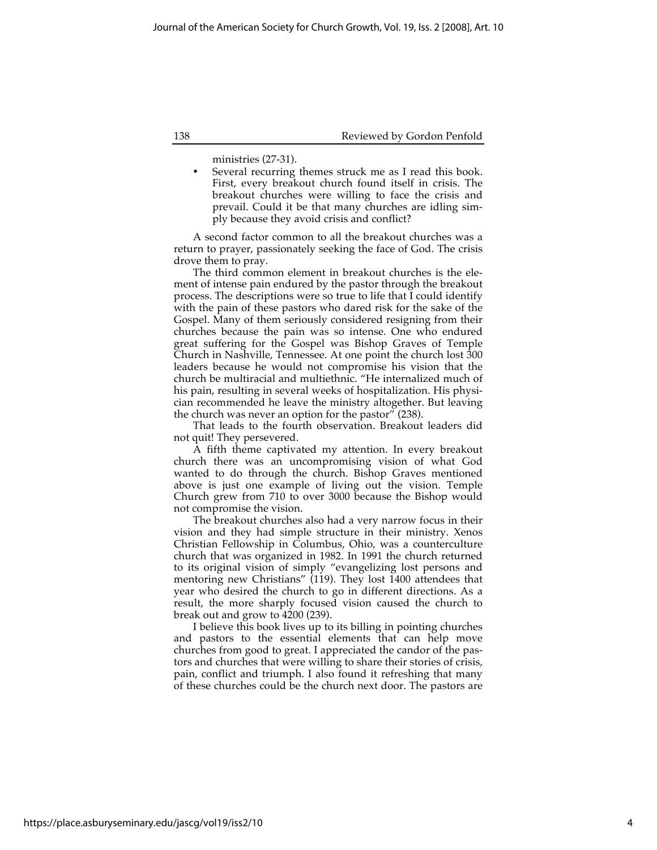#### 138 Reviewed by Gordon Penfold

ministries (27-31).

Several recurring themes struck me as I read this book. First, every breakout church found itself in crisis. The breakout churches were willing to face the crisis and prevail. Could it be that many churches are idling simply because they avoid crisis and conflict?

A second factor common to all the breakout churches was a return to prayer, passionately seeking the face of God. The crisis drove them to pray.

The third common element in breakout churches is the element of intense pain endured by the pastor through the breakout process. The descriptions were so true to life that I could identify with the pain of these pastors who dared risk for the sake of the Gospel. Many of them seriously considered resigning from their churches because the pain was so intense. One who endured great suffering for the Gospel was Bishop Graves of Temple Church in Nashville, Tennessee. At one point the church lost 300 leaders because he would not compromise his vision that the church be multiracial and multiethnic. "He internalized much of his pain, resulting in several weeks of hospitalization. His physician recommended he leave the ministry altogether. But leaving the church was never an option for the pastor" (238).

That leads to the fourth observation. Breakout leaders did not quit! They persevered.

A fifth theme captivated my attention. In every breakout church there was an uncompromising vision of what God wanted to do through the church. Bishop Graves mentioned above is just one example of living out the vision. Temple Church grew from 710 to over 3000 because the Bishop would not compromise the vision.

The breakout churches also had a very narrow focus in their vision and they had simple structure in their ministry. Xenos Christian Fellowship in Columbus, Ohio, was a counterculture church that was organized in 1982. In 1991 the church returned to its original vision of simply "evangelizing lost persons and mentoring new Christians" (119). They lost 1400 attendees that year who desired the church to go in different directions. As a result, the more sharply focused vision caused the church to break out and grow to 4200 (239).

I believe this book lives up to its billing in pointing churches and pastors to the essential elements that can help move churches from good to great. I appreciated the candor of the pastors and churches that were willing to share their stories of crisis, pain, conflict and triumph. I also found it refreshing that many of these churches could be the church next door. The pastors are